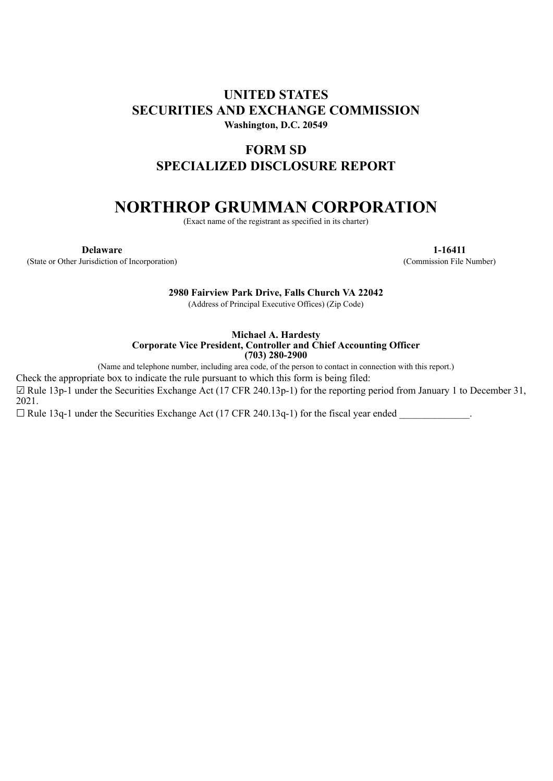### **UNITED STATES SECURITIES AND EXCHANGE COMMISSION Washington, D.C. 20549**

# **FORM SD SPECIALIZED DISCLOSURE REPORT**

# **NORTHROP GRUMMAN CORPORATION**

(Exact name of the registrant as specified in its charter)

(State or Other Jurisdiction of Incorporation) (Commission File Number)

**Delaware 1-16411**

#### **2980 Fairview Park Drive, Falls Church VA 22042**

(Address of Principal Executive Offices) (Zip Code)

**Michael A. Hardesty Corporate Vice President, Controller and Chief Accounting Officer (703) 280-2900**

(Name and telephone number, including area code, of the person to contact in connection with this report.)

Check the appropriate box to indicate the rule pursuant to which this form is being filed: ☑ Rule 13p-1 under the Securities Exchange Act (17 CFR 240.13p-1) for the reporting period from January 1 to December 31, 2021.

 $\Box$  Rule 13q-1 under the Securities Exchange Act (17 CFR 240.13q-1) for the fiscal year ended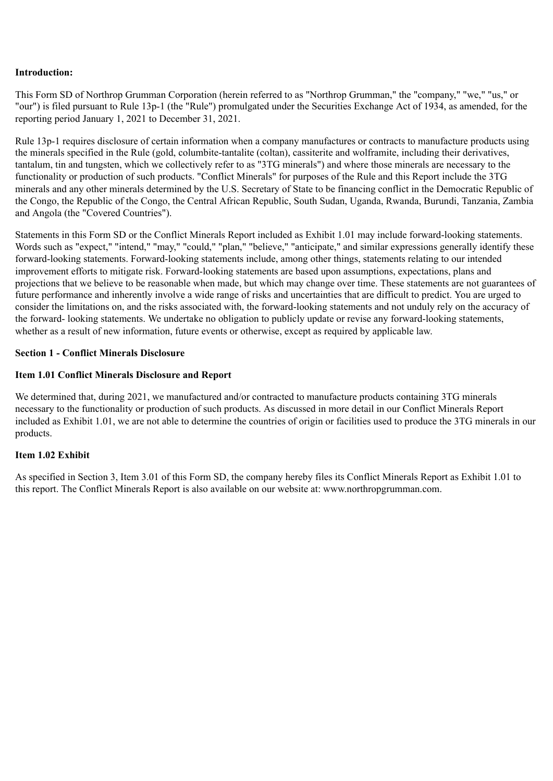#### **Introduction:**

This Form SD of Northrop Grumman Corporation (herein referred to as "Northrop Grumman," the "company," "we," "us," or "our") is filed pursuant to Rule 13p-1 (the "Rule") promulgated under the Securities Exchange Act of 1934, as amended, for the reporting period January 1, 2021 to December 31, 2021.

Rule 13p-1 requires disclosure of certain information when a company manufactures or contracts to manufacture products using the minerals specified in the Rule (gold, columbite-tantalite (coltan), cassiterite and wolframite, including their derivatives, tantalum, tin and tungsten, which we collectively refer to as "3TG minerals") and where those minerals are necessary to the functionality or production of such products. "Conflict Minerals" for purposes of the Rule and this Report include the 3TG minerals and any other minerals determined by the U.S. Secretary of State to be financing conflict in the Democratic Republic of the Congo, the Republic of the Congo, the Central African Republic, South Sudan, Uganda, Rwanda, Burundi, Tanzania, Zambia and Angola (the "Covered Countries").

Statements in this Form SD or the Conflict Minerals Report included as Exhibit 1.01 may include forward-looking statements. Words such as "expect," "intend," "may," "could," "plan," "believe," "anticipate," and similar expressions generally identify these forward-looking statements. Forward-looking statements include, among other things, statements relating to our intended improvement efforts to mitigate risk. Forward-looking statements are based upon assumptions, expectations, plans and projections that we believe to be reasonable when made, but which may change over time. These statements are not guarantees of future performance and inherently involve a wide range of risks and uncertainties that are difficult to predict. You are urged to consider the limitations on, and the risks associated with, the forward-looking statements and not unduly rely on the accuracy of the forward- looking statements. We undertake no obligation to publicly update or revise any forward-looking statements, whether as a result of new information, future events or otherwise, except as required by applicable law.

#### **Section 1 - Conflict Minerals Disclosure**

#### **Item 1.01 Conflict Minerals Disclosure and Report**

We determined that, during 2021, we manufactured and/or contracted to manufacture products containing 3TG minerals necessary to the functionality or production of such products. As discussed in more detail in our Conflict Minerals Report included as Exhibit 1.01, we are not able to determine the countries of origin or facilities used to produce the 3TG minerals in our products.

#### **Item 1.02 Exhibit**

As specified in Section 3, Item 3.01 of this Form SD, the company hereby files its Conflict Minerals Report as Exhibit 1.01 to this report. The Conflict Minerals Report is also available on our website at: www.northropgrumman.com.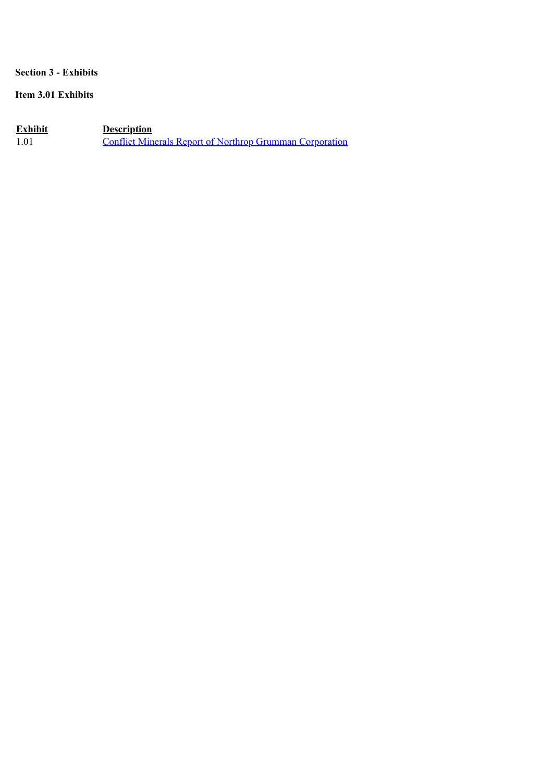#### **Section 3 - Exhibits**

#### **Item 3.01 Exhibits**

**Exhibit Description** 1.01 [Conflict Minerals Report of Northrop Grumman Corporation](#page-4-0)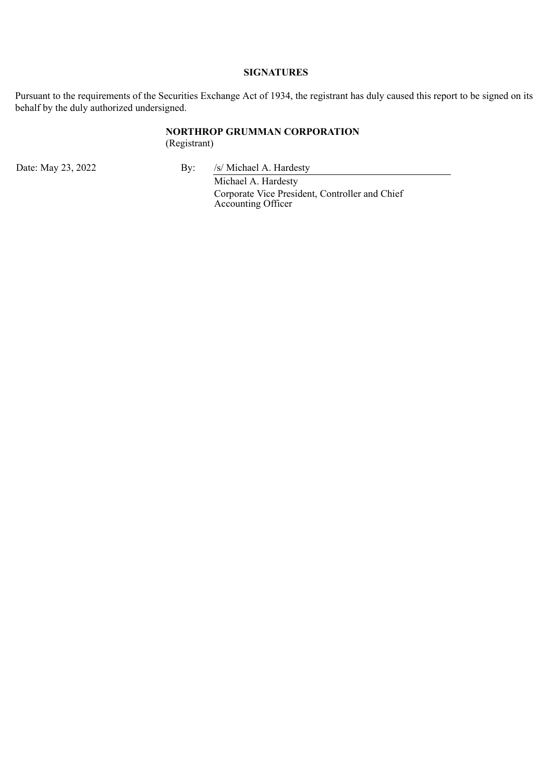#### **SIGNATURES**

Pursuant to the requirements of the Securities Exchange Act of 1934, the registrant has duly caused this report to be signed on its behalf by the duly authorized undersigned.

#### **NORTHROP GRUMMAN CORPORATION**

(Registrant)

Date: May 23, 2022 By: /s/ Michael A. Hardesty

Michael A. Hardesty Corporate Vice President, Controller and Chief Accounting Officer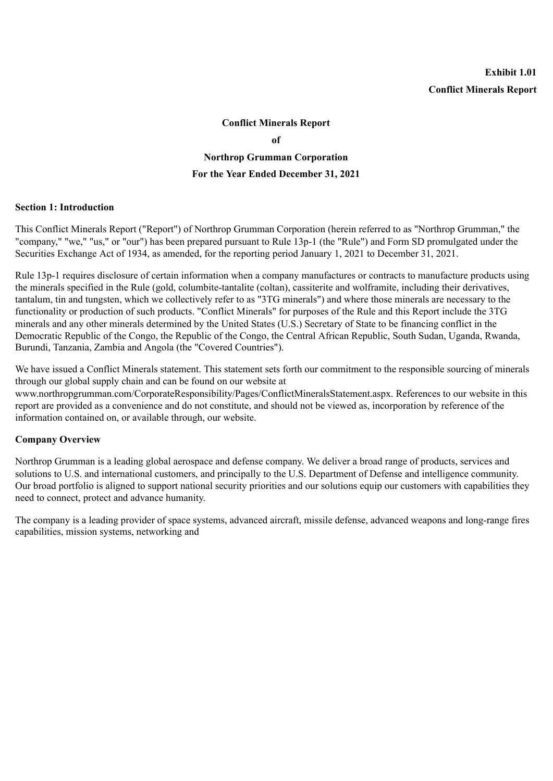## **Exhibit 1.01 Conflict Minerals Report**

## **Conflict Minerals Report of Northrop Grumman Corporation For the Year Ended December 31, 2021**

#### <span id="page-4-0"></span>**Section 1: Introduction**

This Conflict Minerals Report ("Report") of Northrop Grumman Corporation (herein referred to as "Northrop Grumman," the "company," "we," "us," or "our") has been prepared pursuant to Rule 13p-1 (the "Rule") and Form SD promulgated under the Securities Exchange Act of 1934, as amended, for the reporting period January 1, 2021 to December 31, 2021.

Rule 13p-1 requires disclosure of certain information when a company manufactures or contracts to manufacture products using the minerals specified in the Rule (gold, columbite-tantalite (coltan), cassiterite and wolframite, including their derivatives, tantalum, tin and tungsten, which we collectively refer to as "3TG minerals") and where those minerals are necessary to the functionality or production of such products. "Conflict Minerals" for purposes of the Rule and this Report include the 3TG minerals and any other minerals determined by the United States (U.S.) Secretary of State to be financing conflict in the Democratic Republic of the Congo, the Republic of the Congo, the Central African Republic, South Sudan, Uganda, Rwanda, Burundi, Tanzania, Zambia and Angola (the "Covered Countries").

We have issued a Conflict Minerals statement. This statement sets forth our commitment to the responsible sourcing of minerals through our global supply chain and can be found on our website at

www.northropgrumman.com/CorporateResponsibility/Pages/ConflictMineralsStatement.aspx. References to our website in this report are provided as a convenience and do not constitute, and should not be viewed as, incorporation by reference of the information contained on, or available through, our website.

#### **Company Overview**

Northrop Grumman is a leading global aerospace and defense company. We deliver a broad range of products, services and solutions to U.S. and international customers, and principally to the U.S. Department of Defense and intelligence community. Our broad portfolio is aligned to support national security priorities and our solutions equip our customers with capabilities they need to connect, protect and advance humanity.

The company is a leading provider of space systems, advanced aircraft, missile defense, advanced weapons and long-range fires capabilities, mission systems, networking and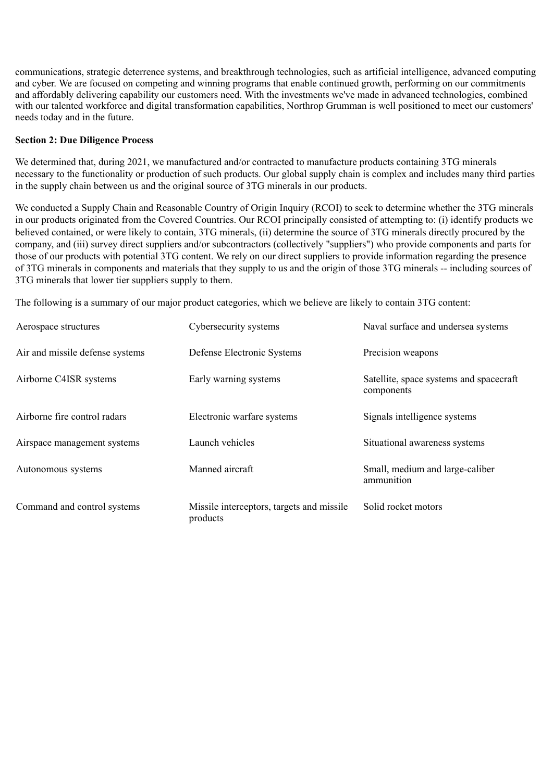communications, strategic deterrence systems, and breakthrough technologies, such as artificial intelligence, advanced computing and cyber. We are focused on competing and winning programs that enable continued growth, performing on our commitments and affordably delivering capability our customers need. With the investments we've made in advanced technologies, combined with our talented workforce and digital transformation capabilities, Northrop Grumman is well positioned to meet our customers' needs today and in the future.

#### **Section 2: Due Diligence Process**

We determined that, during 2021, we manufactured and/or contracted to manufacture products containing 3TG minerals necessary to the functionality or production of such products. Our global supply chain is complex and includes many third parties in the supply chain between us and the original source of 3TG minerals in our products.

We conducted a Supply Chain and Reasonable Country of Origin Inquiry (RCOI) to seek to determine whether the 3TG minerals in our products originated from the Covered Countries. Our RCOI principally consisted of attempting to: (i) identify products we believed contained, or were likely to contain, 3TG minerals, (ii) determine the source of 3TG minerals directly procured by the company, and (iii) survey direct suppliers and/or subcontractors (collectively "suppliers") who provide components and parts for those of our products with potential 3TG content. We rely on our direct suppliers to provide information regarding the presence of 3TG minerals in components and materials that they supply to us and the origin of those 3TG minerals -- including sources of 3TG minerals that lower tier suppliers supply to them.

The following is a summary of our major product categories, which we believe are likely to contain 3TG content:

| Aerospace structures            | Cybersecurity systems                                 | Naval surface and undersea systems                    |
|---------------------------------|-------------------------------------------------------|-------------------------------------------------------|
| Air and missile defense systems | Defense Electronic Systems                            | Precision weapons                                     |
| Airborne C4ISR systems          | Early warning systems                                 | Satellite, space systems and spacecraft<br>components |
| Airborne fire control radars    | Electronic warfare systems                            | Signals intelligence systems                          |
| Airspace management systems     | Launch vehicles                                       | Situational awareness systems                         |
| Autonomous systems              | Manned aircraft                                       | Small, medium and large-caliber<br>ammunition         |
| Command and control systems     | Missile interceptors, targets and missile<br>products | Solid rocket motors                                   |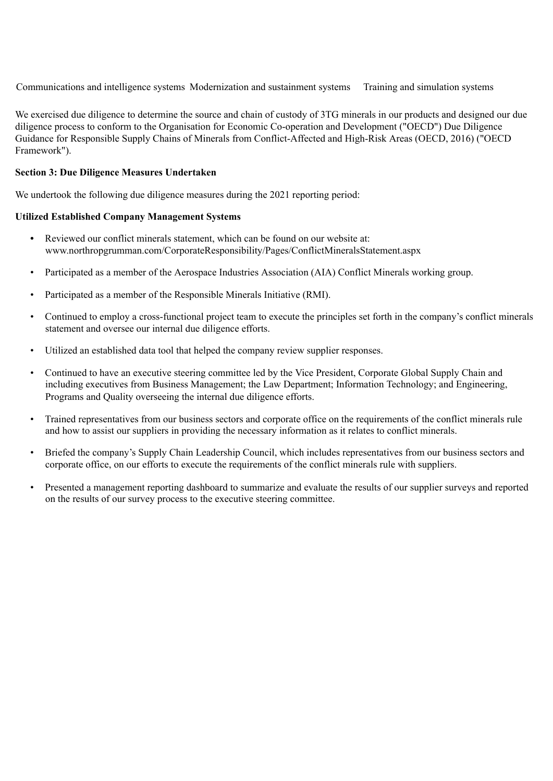Communications and intelligence systems Modernization and sustainment systems Training and simulation systems

We exercised due diligence to determine the source and chain of custody of 3TG minerals in our products and designed our due diligence process to conform to the Organisation for Economic Co-operation and Development ("OECD") Due Diligence Guidance for Responsible Supply Chains of Minerals from Conflict-Affected and High-Risk Areas (OECD, 2016) ("OECD Framework").

#### **Section 3: Due Diligence Measures Undertaken**

We undertook the following due diligence measures during the 2021 reporting period:

#### **Utilized Established Company Management Systems**

- Reviewed our conflict minerals statement, which can be found on our website at: www.northropgrumman.com/CorporateResponsibility/Pages/ConflictMineralsStatement.aspx
- Participated as a member of the Aerospace Industries Association (AIA) Conflict Minerals working group.
- Participated as a member of the Responsible Minerals Initiative (RMI).
- Continued to employ a cross-functional project team to execute the principles set forth in the company's conflict minerals statement and oversee our internal due diligence efforts.
- Utilized an established data tool that helped the company review supplier responses.
- Continued to have an executive steering committee led by the Vice President, Corporate Global Supply Chain and including executives from Business Management; the Law Department; Information Technology; and Engineering, Programs and Quality overseeing the internal due diligence efforts.
- Trained representatives from our business sectors and corporate office on the requirements of the conflict minerals rule and how to assist our suppliers in providing the necessary information as it relates to conflict minerals.
- Briefed the company's Supply Chain Leadership Council, which includes representatives from our business sectors and corporate office, on our efforts to execute the requirements of the conflict minerals rule with suppliers.
- Presented a management reporting dashboard to summarize and evaluate the results of our supplier surveys and reported on the results of our survey process to the executive steering committee.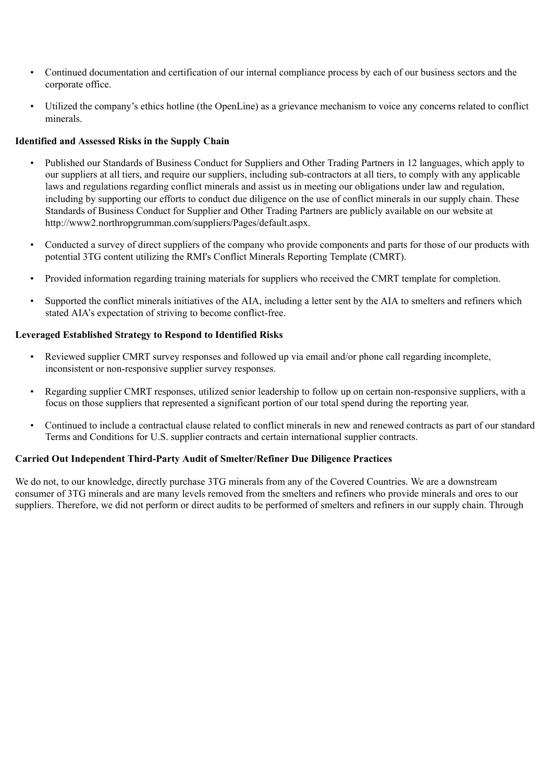- Continued documentation and certification of our internal compliance process by each of our business sectors and the corporate office.
- Utilized the company's ethics hotline (the OpenLine) as a grievance mechanism to voice any concerns related to conflict minerals.

#### **Identified and Assessed Risks in the Supply Chain**

- Published our Standards of Business Conduct for Suppliers and Other Trading Partners in 12 languages, which apply to our suppliers at all tiers, and require our suppliers, including sub-contractors at all tiers, to comply with any applicable laws and regulations regarding conflict minerals and assist us in meeting our obligations under law and regulation, including by supporting our efforts to conduct due diligence on the use of conflict minerals in our supply chain. These Standards of Business Conduct for Supplier and Other Trading Partners are publicly available on our website at http://www2.northropgrumman.com/suppliers/Pages/default.aspx.
- Conducted a survey of direct suppliers of the company who provide components and parts for those of our products with potential 3TG content utilizing the RMI's Conflict Minerals Reporting Template (CMRT).
- Provided information regarding training materials for suppliers who received the CMRT template for completion.
- Supported the conflict minerals initiatives of the AIA, including a letter sent by the AIA to smelters and refiners which stated AIA's expectation of striving to become conflict-free.

#### **Leveraged Established Strategy to Respond to Identified Risks**

- Reviewed supplier CMRT survey responses and followed up via email and/or phone call regarding incomplete, inconsistent or non-responsive supplier survey responses.
- Regarding supplier CMRT responses, utilized senior leadership to follow up on certain non-responsive suppliers, with a focus on those suppliers that represented a significant portion of our total spend during the reporting year.
- Continued to include a contractual clause related to conflict minerals in new and renewed contracts as part of our standard Terms and Conditions for U.S. supplier contracts and certain international supplier contracts.

#### **Carried Out Independent Third-Party Audit of Smelter/Refiner Due Diligence Practices**

We do not, to our knowledge, directly purchase 3TG minerals from any of the Covered Countries. We are a downstream consumer of 3TG minerals and are many levels removed from the smelters and refiners who provide minerals and ores to our suppliers. Therefore, we did not perform or direct audits to be performed of smelters and refiners in our supply chain. Through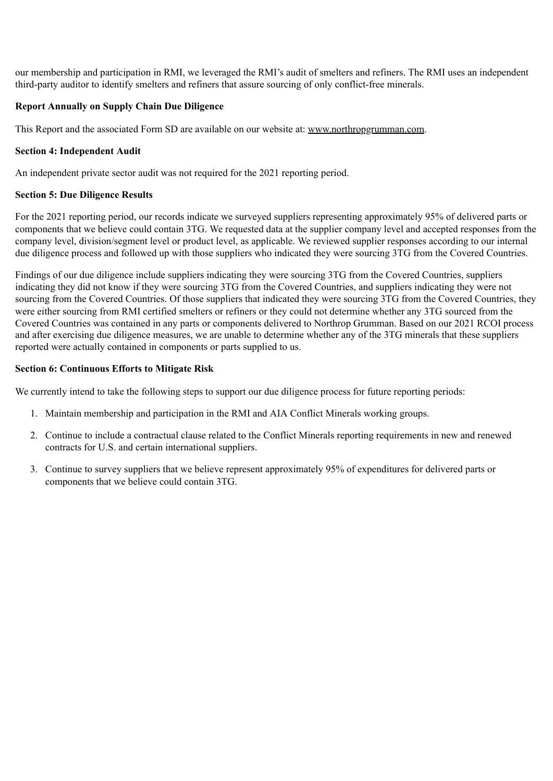our membership and participation in RMI, we leveraged the RMI's audit of smelters and refiners. The RMI uses an independent third-party auditor to identify smelters and refiners that assure sourcing of only conflict-free minerals.

#### **Report Annually on Supply Chain Due Diligence**

This Report and the associated Form SD are available on our website at: www.northropgrumman.com.

#### **Section 4: Independent Audit**

An independent private sector audit was not required for the 2021 reporting period.

#### **Section 5: Due Diligence Results**

For the 2021 reporting period, our records indicate we surveyed suppliers representing approximately 95% of delivered parts or components that we believe could contain 3TG. We requested data at the supplier company level and accepted responses from the company level, division/segment level or product level, as applicable. We reviewed supplier responses according to our internal due diligence process and followed up with those suppliers who indicated they were sourcing 3TG from the Covered Countries.

Findings of our due diligence include suppliers indicating they were sourcing 3TG from the Covered Countries, suppliers indicating they did not know if they were sourcing 3TG from the Covered Countries, and suppliers indicating they were not sourcing from the Covered Countries. Of those suppliers that indicated they were sourcing 3TG from the Covered Countries, they were either sourcing from RMI certified smelters or refiners or they could not determine whether any 3TG sourced from the Covered Countries was contained in any parts or components delivered to Northrop Grumman. Based on our 2021 RCOI process and after exercising due diligence measures, we are unable to determine whether any of the 3TG minerals that these suppliers reported were actually contained in components or parts supplied to us.

#### **Section 6: Continuous Efforts to Mitigate Risk**

We currently intend to take the following steps to support our due diligence process for future reporting periods:

- 1. Maintain membership and participation in the RMI and AIA Conflict Minerals working groups.
- 2. Continue to include a contractual clause related to the Conflict Minerals reporting requirements in new and renewed contracts for U.S. and certain international suppliers.
- 3. Continue to survey suppliers that we believe represent approximately 95% of expenditures for delivered parts or components that we believe could contain 3TG.